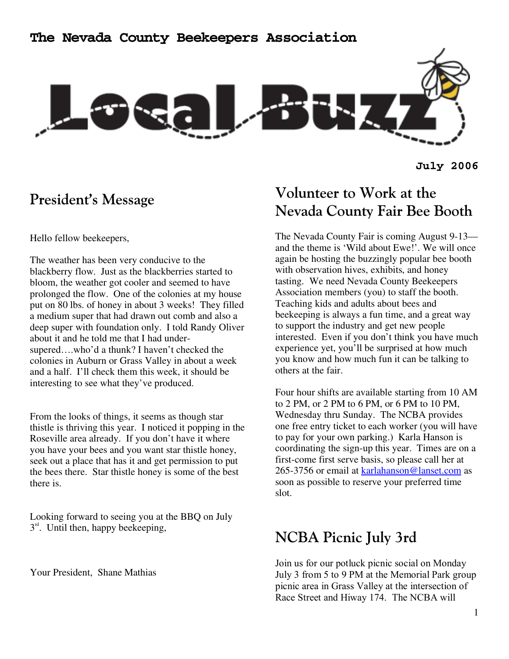

**July 2006** 

### **President's Message**

Hello fellow beekeepers,

The weather has been very conducive to the blackberry flow. Just as the blackberries started to bloom, the weather got cooler and seemed to have prolonged the flow. One of the colonies at my house put on 80 lbs. of honey in about 3 weeks! They filled a medium super that had drawn out comb and also a deep super with foundation only. I told Randy Oliver about it and he told me that I had undersupered….who'd a thunk? I haven't checked the colonies in Auburn or Grass Valley in about a week and a half. I'll check them this week, it should be interesting to see what they've produced.

From the looks of things, it seems as though star thistle is thriving this year. I noticed it popping in the Roseville area already. If you don't have it where you have your bees and you want star thistle honey, seek out a place that has it and get permission to put the bees there. Star thistle honey is some of the best there is.

Looking forward to seeing you at the BBQ on July  $3<sup>rd</sup>$ . Until then, happy beekeeping,

Your President, Shane Mathias

# **Volunteer to Work at the Nevada County Fair Bee Booth**

The Nevada County Fair is coming August 9-13 and the theme is 'Wild about Ewe!'. We will once again be hosting the buzzingly popular bee booth with observation hives, exhibits, and honey tasting. We need Nevada County Beekeepers Association members (you) to staff the booth. Teaching kids and adults about bees and beekeeping is always a fun time, and a great way to support the industry and get new people interested. Even if you don't think you have much experience yet, you'll be surprised at how much you know and how much fun it can be talking to others at the fair.

Four hour shifts are available starting from 10 AM to 2 PM, or 2 PM to 6 PM, or 6 PM to 10 PM, Wednesday thru Sunday. The NCBA provides one free entry ticket to each worker (you will have to pay for your own parking.) Karla Hanson is coordinating the sign-up this year. Times are on a first-come first serve basis, so please call her at 265-3756 or email at karlahanson@lanset.com as soon as possible to reserve your preferred time slot.

## **NCBA Picnic July 3rd**

Join us for our potluck picnic social on Monday July 3 from 5 to 9 PM at the Memorial Park group picnic area in Grass Valley at the intersection of Race Street and Hiway 174. The NCBA will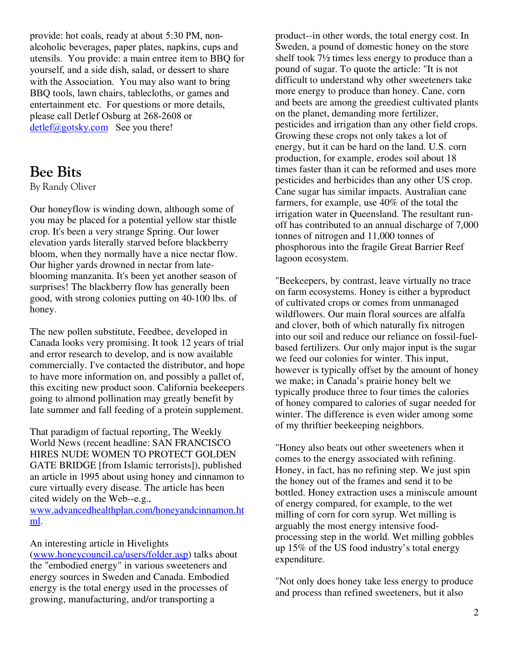provide: hot coals, ready at about 5:30 PM, nonalcoholic beverages, paper plates, napkins, cups and utensils. You provide: a main entree item to BBQ for yourself, and a side dish, salad, or dessert to share with the Association. You may also want to bring BBQ tools, lawn chairs, tablecloths, or games and entertainment etc. For questions or more details, please call Detlef Osburg at 268-2608 or  $\frac{\text{detlef}(a)$  gotsky.com See you there!

### **Bee Bits**

By Randy Oliver

Our honeyflow is winding down, although some of you may be placed for a potential yellow star thistle crop. It's been a very strange Spring. Our lower elevation yards literally starved before blackberry bloom, when they normally have a nice nectar flow. Our higher yards drowned in nectar from lateblooming manzanita. It's been yet another season of surprises! The blackberry flow has generally been good, with strong colonies putting on 40-100 lbs. of honey.

The new pollen substitute, Feedbee, developed in Canada looks very promising. It took 12 years of trial and error research to develop, and is now available commercially. I've contacted the distributor, and hope to have more information on, and possibly a pallet of, this exciting new product soon. California beekeepers going to almond pollination may greatly benefit by late summer and fall feeding of a protein supplement.

That paradigm of factual reporting, The Weekly World News (recent headline: SAN FRANCISCO HIRES NUDE WOMEN TO PROTECT GOLDEN GATE BRIDGE [from Islamic terrorists]), published an article in 1995 about using honey and cinnamon to cure virtually every disease. The article has been cited widely on the Web--e.g.,

www.advancedhealthplan.com/honeyandcinnamon.ht ml.

#### An interesting article in Hivelights

(www.honeycouncil.ca/users/folder.asp) talks about the "embodied energy" in various sweeteners and energy sources in Sweden and Canada. Embodied energy is the total energy used in the processes of growing, manufacturing, and/or transporting a

product--in other words, the total energy cost. In Sweden, a pound of domestic honey on the store shelf took 7½ times less energy to produce than a pound of sugar. To quote the article: "It is not difficult to understand why other sweeteners take more energy to produce than honey. Cane, corn and beets are among the greediest cultivated plants on the planet, demanding more fertilizer, pesticides and irrigation than any other field crops. Growing these crops not only takes a lot of energy, but it can be hard on the land. U.S. corn production, for example, erodes soil about 18 times faster than it can be reformed and uses more pesticides and herbicides than any other US crop. Cane sugar has similar impacts. Australian cane farmers, for example, use 40% of the total the irrigation water in Queensland. The resultant runoff has contributed to an annual discharge of 7,000 tonnes of nitrogen and 11,000 tonnes of phosphorous into the fragile Great Barrier Reef lagoon ecosystem.

"Beekeepers, by contrast, leave virtually no trace on farm ecosystems. Honey is either a byproduct of cultivated crops or comes from unmanaged wildflowers. Our main floral sources are alfalfa and clover, both of which naturally fix nitrogen into our soil and reduce our reliance on fossil-fuelbased fertilizers. Our only major input is the sugar we feed our colonies for winter. This input, however is typically offset by the amount of honey we make; in Canada's prairie honey belt we typically produce three to four times the calories of honey compared to calories of sugar needed for winter. The difference is even wider among some of my thriftier beekeeping neighbors.

"Honey also beats out other sweeteners when it comes to the energy associated with refining. Honey, in fact, has no refining step. We just spin the honey out of the frames and send it to be bottled. Honey extraction uses a miniscule amount of energy compared, for example, to the wet milling of corn for corn syrup. Wet milling is arguably the most energy intensive foodprocessing step in the world. Wet milling gobbles up 15% of the US food industry's total energy expenditure.

"Not only does honey take less energy to produce and process than refined sweeteners, but it also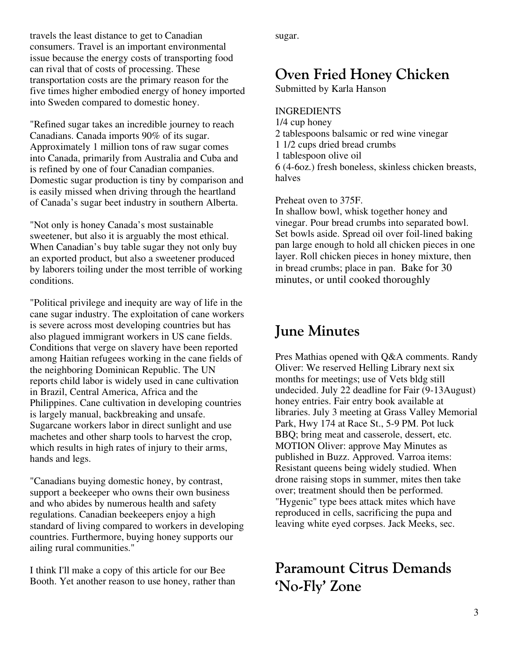travels the least distance to get to Canadian consumers. Travel is an important environmental issue because the energy costs of transporting food can rival that of costs of processing. These transportation costs are the primary reason for the five times higher embodied energy of honey imported into Sweden compared to domestic honey.

"Refined sugar takes an incredible journey to reach Canadians. Canada imports 90% of its sugar. Approximately 1 million tons of raw sugar comes into Canada, primarily from Australia and Cuba and is refined by one of four Canadian companies. Domestic sugar production is tiny by comparison and is easily missed when driving through the heartland of Canada's sugar beet industry in southern Alberta.

"Not only is honey Canada's most sustainable sweetener, but also it is arguably the most ethical. When Canadian's buy table sugar they not only buy an exported product, but also a sweetener produced by laborers toiling under the most terrible of working conditions.

"Political privilege and inequity are way of life in the cane sugar industry. The exploitation of cane workers is severe across most developing countries but has also plagued immigrant workers in US cane fields. Conditions that verge on slavery have been reported among Haitian refugees working in the cane fields of the neighboring Dominican Republic. The UN reports child labor is widely used in cane cultivation in Brazil, Central America, Africa and the Philippines. Cane cultivation in developing countries is largely manual, backbreaking and unsafe. Sugarcane workers labor in direct sunlight and use machetes and other sharp tools to harvest the crop, which results in high rates of injury to their arms, hands and legs.

"Canadians buying domestic honey, by contrast, support a beekeeper who owns their own business and who abides by numerous health and safety regulations. Canadian beekeepers enjoy a high standard of living compared to workers in developing countries. Furthermore, buying honey supports our ailing rural communities."

I think I'll make a copy of this article for our Bee Booth. Yet another reason to use honey, rather than sugar.

## **Oven Fried Honey Chicken**

Submitted by Karla Hanson

#### INGREDIENTS

1/4 cup honey 2 tablespoons balsamic or red wine vinegar 1 1/2 cups dried bread crumbs 1 tablespoon olive oil 6 (4-6oz.) fresh boneless, skinless chicken breasts, halves

Preheat oven to 375F.

In shallow bowl, whisk together honey and vinegar. Pour bread crumbs into separated bowl. Set bowls aside. Spread oil over foil-lined baking pan large enough to hold all chicken pieces in one layer. Roll chicken pieces in honey mixture, then in bread crumbs; place in pan. Bake for 30 minutes, or until cooked thoroughly

### **June Minutes**

Pres Mathias opened with Q&A comments. Randy Oliver: We reserved Helling Library next six months for meetings; use of Vets bldg still undecided. July 22 deadline for Fair (9-13August) honey entries. Fair entry book available at libraries. July 3 meeting at Grass Valley Memorial Park, Hwy 174 at Race St., 5-9 PM. Pot luck BBQ; bring meat and casserole, dessert, etc. MOTION Oliver: approve May Minutes as published in Buzz. Approved. Varroa items: Resistant queens being widely studied. When drone raising stops in summer, mites then take over; treatment should then be performed. "Hygenic" type bees attack mites which have reproduced in cells, sacrificing the pupa and leaving white eyed corpses. Jack Meeks, sec.

**Paramount Citrus Demands 'No-Fly' Zone**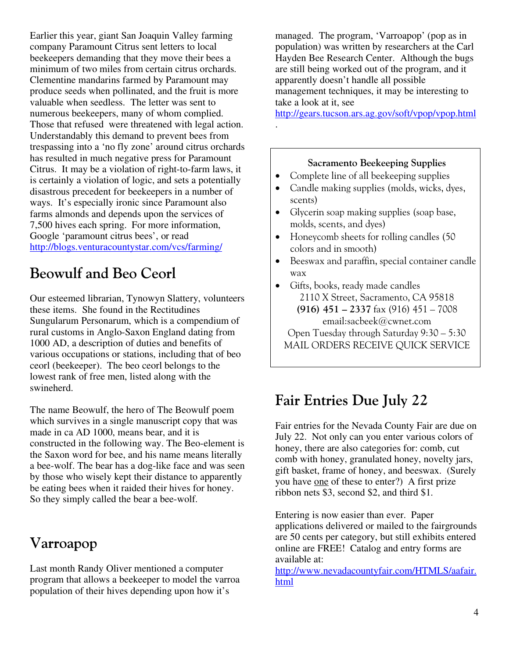Earlier this year, giant San Joaquin Valley farming company Paramount Citrus sent letters to local beekeepers demanding that they move their bees a minimum of two miles from certain citrus orchards. Clementine mandarins farmed by Paramount may produce seeds when pollinated, and the fruit is more valuable when seedless. The letter was sent to numerous beekeepers, many of whom complied. Those that refused were threatened with legal action. Understandably this demand to prevent bees from trespassing into a 'no fly zone' around citrus orchards has resulted in much negative press for Paramount Citrus. It may be a violation of right-to-farm laws, it is certainly a violation of logic, and sets a potentially disastrous precedent for beekeepers in a number of ways. It's especially ironic since Paramount also farms almonds and depends upon the services of 7,500 hives each spring. For more information, Google 'paramount citrus bees', or read http://blogs.venturacountystar.com/vcs/farming/

# **Beowulf and Beo Ceorl**

Our esteemed librarian, Tynowyn Slattery, volunteers these items. She found in the Rectitudines Sungularum Personarum, which is a compendium of rural customs in Anglo-Saxon England dating from 1000 AD, a description of duties and benefits of various occupations or stations, including that of beo ceorl (beekeeper). The beo ceorl belongs to the lowest rank of free men, listed along with the swineherd.

The name Beowulf, the hero of The Beowulf poem which survives in a single manuscript copy that was made in ca AD 1000, means bear, and it is constructed in the following way. The Beo-element is the Saxon word for bee, and his name means literally a bee-wolf. The bear has a dog-like face and was seen by those who wisely kept their distance to apparently be eating bees when it raided their hives for honey. So they simply called the bear a bee-wolf.

## **Varroapop**

Last month Randy Oliver mentioned a computer program that allows a beekeeper to model the varroa population of their hives depending upon how it's

managed. The program, 'Varroapop' (pop as in population) was written by researchers at the Carl Hayden Bee Research Center. Although the bugs are still being worked out of the program, and it apparently doesn't handle all possible management techniques, it may be interesting to take a look at it, see

http://gears.tucson.ars.ag.gov/soft/vpop/vpop.html

#### **Sacramento Beekeeping Supplies**

• Complete line of all beekeeping supplies

.

- Candle making supplies (molds, wicks, dyes, scents)
- Glycerin soap making supplies (soap base, molds, scents, and dyes)
- Honeycomb sheets for rolling candles (50) colors and in smooth)
- Beeswax and paraffin, special container candle wax
- Gifts, books, ready made candles 2110 X Street, Sacramento, CA 95818 **(916) 451 – 2337** fax (916) 451 – 7008 email:sacbeek@cwnet.com Open Tuesday through Saturday 9:30 – 5:30 MAIL ORDERS RECEIVE QUICK SERVICE

# **Fair Entries Due July 22**

Fair entries for the Nevada County Fair are due on July 22. Not only can you enter various colors of honey, there are also categories for: comb, cut comb with honey, granulated honey, novelty jars, gift basket, frame of honey, and beeswax. (Surely you have one of these to enter?) A first prize ribbon nets \$3, second \$2, and third \$1.

Entering is now easier than ever. Paper applications delivered or mailed to the fairgrounds are 50 cents per category, but still exhibits entered online are FREE! Catalog and entry forms are available at:

http://www.nevadacountyfair.com/HTMLS/aafair. html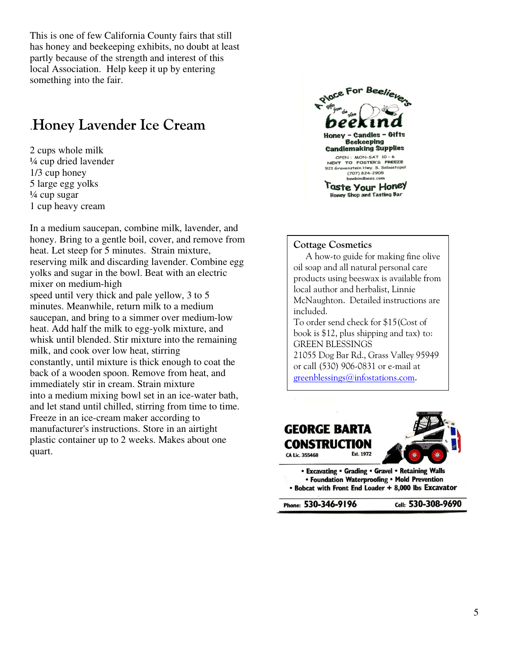This is one of few California County fairs that still has honey and beekeeping exhibits, no doubt at least partly because of the strength and interest of this local Association. Help keep it up by entering something into the fair.

### .**Honey Lavender Ice Cream**

2 cups whole milk ¼ cup dried lavender 1/3 cup honey 5 large egg yolks  $\frac{1}{4}$  cup sugar 1 cup heavy cream

In a medium saucepan, combine milk, lavender, and honey. Bring to a gentle boil, cover, and remove from heat. Let steep for 5 minutes. Strain mixture, reserving milk and discarding lavender. Combine egg yolks and sugar in the bowl. Beat with an electric mixer on medium-high speed until very thick and pale yellow, 3 to 5 minutes. Meanwhile, return milk to a medium saucepan, and bring to a simmer over medium-low heat. Add half the milk to egg-yolk mixture, and whisk until blended. Stir mixture into the remaining milk, and cook over low heat, stirring constantly, until mixture is thick enough to coat the back of a wooden spoon. Remove from heat, and immediately stir in cream. Strain mixture into a medium mixing bowl set in an ice-water bath, and let stand until chilled, stirring from time to time. Freeze in an ice-cream maker according to manufacturer's instructions. Store in an airtight plastic container up to 2 weeks. Makes about one quart.



#### **Cottage Cosmetics**

 A how-to guide for making fine olive oil soap and all natural personal care products using beeswax is available from local author and herbalist, Linnie McNaughton. Detailed instructions are included. To order send check for \$15(Cost of book is \$12, plus shipping and tax) to: GREEN BLESSINGS 21055 Dog Bar Rd., Grass Valley 95949 or call (530) 906-0831 or e-mail at greenblessings@infostations.com.



• Foundation Waterproofing • Mold Prevention . Bobcat with Front End Loader + 8,000 lbs Excavator

Phone: 530-346-9196

Cell: 530-308-9690